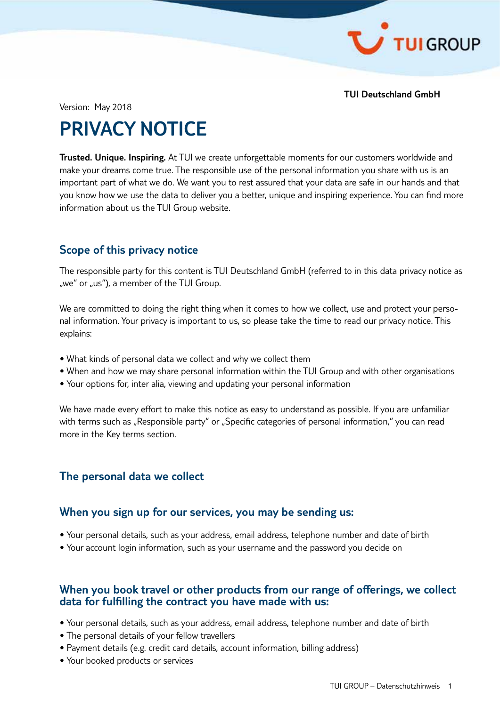

**TUI Deutschland GmbH**

Version: May 2018

# **PRIVACY NOTICE**

**Trusted. Unique. Inspiring.** At TUI we create unforgettable moments for our customers worldwide and make your dreams come true. The responsible use of the personal information you share with us is an important part of what we do. We want you to rest assured that your data are safe in our hands and that you know how we use the data to deliver you a better, unique and inspiring experience. You can find more information about us the TUI Group website.

# **Scope of this privacy notice**

The responsible party for this content is TUI Deutschland GmbH (referred to in this data privacy notice as "we" or "us"), a member of the TUI Group.

We are committed to doing the right thing when it comes to how we collect, use and protect your personal information. Your privacy is important to us, so please take the time to read our privacy notice. This explains:

- What kinds of personal data we collect and why we collect them
- When and how we may share personal information within the TUI Group and with other organisations
- Your options for, inter alia, viewing and updating your personal information

We have made every effort to make this notice as easy to understand as possible. If you are unfamiliar with terms such as "Responsible party" or "Specific categories of personal information," you can read more in the Key terms section.

# **The personal data we collect**

## **When you sign up for our services, you may be sending us:**

- Your personal details, such as your address, email address, telephone number and date of birth
- Your account login information, such as your username and the password you decide on

## **When you book travel or other products from our range of offerings, we collect data for fulfilling the contract you have made with us:**

- Your personal details, such as your address, email address, telephone number and date of birth
- The personal details of your fellow travellers
- Payment details (e.g. credit card details, account information, billing address)
- Your booked products or services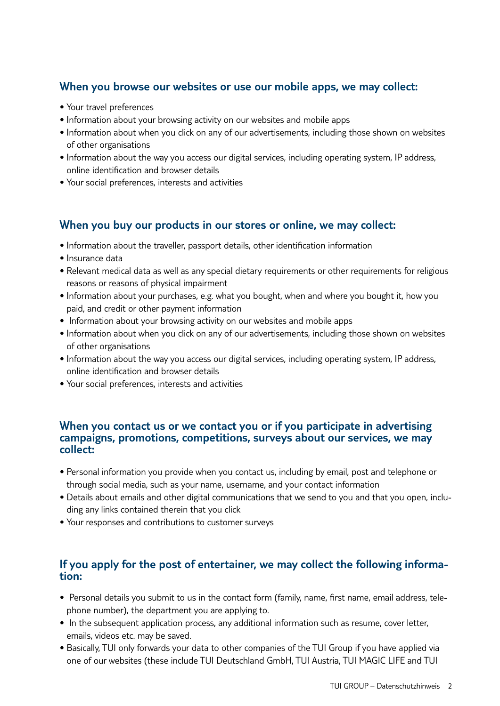# **When you browse our websites or use our mobile apps, we may collect:**

- Your travel preferences
- Information about your browsing activity on our websites and mobile apps
- Information about when you click on any of our advertisements, including those shown on websites of other organisations
- Information about the way you access our digital services, including operating system, IP address, online identification and browser details
- Your social preferences, interests and activities

# **When you buy our products in our stores or online, we may collect:**

- Information about the traveller, passport details, other identification information
- Insurance data
- Relevant medical data as well as any special dietary requirements or other requirements for religious reasons or reasons of physical impairment
- Information about your purchases, e.g. what you bought, when and where you bought it, how you paid, and credit or other payment information
- Information about your browsing activity on our websites and mobile apps
- Information about when you click on any of our advertisements, including those shown on websites of other organisations
- Information about the way you access our digital services, including operating system, IP address, online identification and browser details
- Your social preferences, interests and activities

## **When you contact us or we contact you or if you participate in advertising campaigns, promotions, competitions, surveys about our services, we may collect:**

- Personal information you provide when you contact us, including by email, post and telephone or through social media, such as your name, username, and your contact information
- Details about emails and other digital communications that we send to you and that you open, including any links contained therein that you click
- Your responses and contributions to customer surveys

# **If you apply for the post of entertainer, we may collect the following informa- tion:**

- Personal details you submit to us in the contact form (family, name, first name, email address, telephone number), the department you are applying to.
- In the subsequent application process, any additional information such as resume, cover letter, emails, videos etc. may be saved.
- Basically, TUI only forwards your data to other companies of the TUI Group if you have applied via one of our websites (these include TUI Deutschland GmbH, TUI Austria, TUI MAGIC LIFE and TUI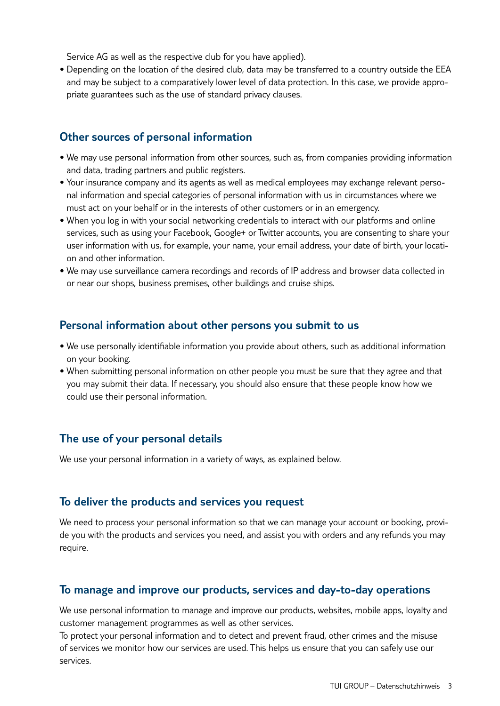Service AG as well as the respective club for you have applied).

• Depending on the location of the desired club, data may be transferred to a country outside the EEA and may be subject to a comparatively lower level of data protection. In this case, we provide appropriate guarantees such as the use of standard privacy clauses.

# **Other sources of personal information**

- We may use personal information from other sources, such as, from companies providing information and data, trading partners and public registers.
- Your insurance company and its agents as well as medical employees may exchange relevant personal information and special categories of personal information with us in circumstances where we must act on your behalf or in the interests of other customers or in an emergency.
- When you log in with your social networking credentials to interact with our platforms and online services, such as using your Facebook, Google+ or Twitter accounts, you are consenting to share your user information with us, for example, your name, your email address, your date of birth, your location and other information.
- We may use surveillance camera recordings and records of IP address and browser data collected in or near our shops, business premises, other buildings and cruise ships.

# **Personal information about other persons you submit to us**

- We use personally identifiable information you provide about others, such as additional information on your booking.
- When submitting personal information on other people you must be sure that they agree and that you may submit their data. If necessary, you should also ensure that these people know how we could use their personal information.

# **The use of your personal details**

We use your personal information in a variety of ways, as explained below.

# **To deliver the products and services you request**

We need to process your personal information so that we can manage your account or booking, provide you with the products and services you need, and assist you with orders and any refunds you may require.

# **To manage and improve our products, services and day-to-day operations**

We use personal information to manage and improve our products, websites, mobile apps, loyalty and customer management programmes as well as other services.

To protect your personal information and to detect and prevent fraud, other crimes and the misuse of services we monitor how our services are used. This helps us ensure that you can safely use our services.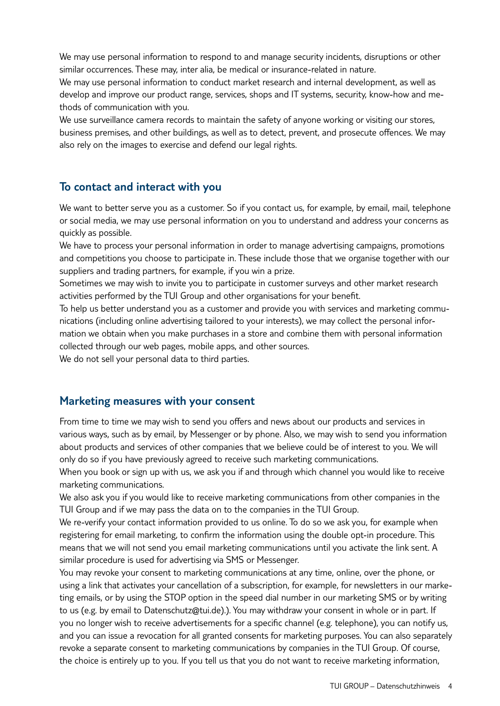We may use personal information to respond to and manage security incidents, disruptions or other similar occurrences. These may, inter alia, be medical or insurance-related in nature.

We may use personal information to conduct market research and internal development, as well as develop and improve our product range, services, shops and IT systems, security, know-how and methods of communication with you.

We use surveillance camera records to maintain the safety of anyone working or visiting our stores, business premises, and other buildings, as well as to detect, prevent, and prosecute offences. We may also rely on the images to exercise and defend our legal rights.

# **To contact and interact with you**

We want to better serve you as a customer. So if you contact us, for example, by email, mail, telephone or social media, we may use personal information on you to understand and address your concerns as quickly as possible.

We have to process your personal information in order to manage advertising campaigns, promotions and competitions you choose to participate in. These include those that we organise together with our suppliers and trading partners, for example, if you win a prize.

Sometimes we may wish to invite you to participate in customer surveys and other market research activities performed by the TUI Group and other organisations for your benefit.

To help us better understand you as a customer and provide you with services and marketing communications (including online advertising tailored to your interests), we may collect the personal information we obtain when you make purchases in a store and combine them with personal information collected through our web pages, mobile apps, and other sources.

We do not sell your personal data to third parties.

## **Marketing measures with your consent**

From time to time we may wish to send you offers and news about our products and services in various ways, such as by email, by Messenger or by phone. Also, we may wish to send you information about products and services of other companies that we believe could be of interest to you. We will only do so if you have previously agreed to receive such marketing communications.

When you book or sign up with us, we ask you if and through which channel you would like to receive marketing communications.

We also ask you if you would like to receive marketing communications from other companies in the TUI Group and if we may pass the data on to the companies in the TUI Group.

We re-verify your contact information provided to us online. To do so we ask you, for example when registering for email marketing, to confirm the information using the double opt-in procedure. This means that we will not send you email marketing communications until you activate the link sent. A similar procedure is used for advertising via SMS or Messenger.

You may revoke your consent to marketing communications at any time, online, over the phone, or using a link that activates your cancellation of a subscription, for example, for newsletters in our marketing emails, or by using the STOP option in the speed dial number in our marketing SMS or by writing to us (e.g. by email to Datenschutz@tui.de).). You may withdraw your consent in whole or in part. If you no longer wish to receive advertisements for a specific channel (e.g. telephone), you can notify us, and you can issue a revocation for all granted consents for marketing purposes. You can also separately revoke a separate consent to marketing communications by companies in the TUI Group. Of course, the choice is entirely up to you. If you tell us that you do not want to receive marketing information,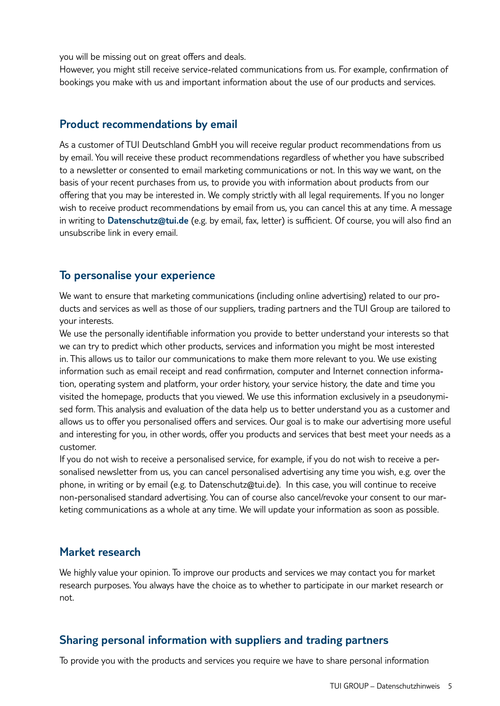you will be missing out on great offers and deals.

However, you might still receive service-related communications from us. For example, confirmation of bookings you make with us and important information about the use of our products and services.

# **Product recommendations by email**

As a customer of TUI Deutschland GmbH you will receive regular product recommendations from us by email. You will receive these product recommendations regardless of whether you have subscribed to a newsletter or consented to email marketing communications or not. In this way we want, on the basis of your recent purchases from us, to provide you with information about products from our offering that you may be interested in. We comply strictly with all legal requirements. If you no longer wish to receive product recommendations by email from us, you can cancel this at any time. A message in writing to **Datenschutz@tui.de** (e.g. by email, fax, letter) is sufficient. Of course, you will also find an unsubscribe link in every email.

# **To personalise your experience**

We want to ensure that marketing communications (including online advertising) related to our products and services as well as those of our suppliers, trading partners and the TUI Group are tailored to your interests.

We use the personally identifiable information you provide to better understand your interests so that we can try to predict which other products, services and information you might be most interested in. This allows us to tailor our communications to make them more relevant to you. We use existing information such as email receipt and read confirmation, computer and Internet connection information, operating system and platform, your order history, your service history, the date and time you visited the homepage, products that you viewed. We use this information exclusively in a pseudonymised form. This analysis and evaluation of the data help us to better understand you as a customer and allows us to offer you personalised offers and services. Our goal is to make our advertising more useful and interesting for you, in other words, offer you products and services that best meet your needs as a customer.

If you do not wish to receive a personalised service, for example, if you do not wish to receive a personalised newsletter from us, you can cancel personalised advertising any time you wish, e.g. over the phone, in writing or by email (e.g. to Datenschutz@tui.de). In this case, you will continue to receive non-personalised standard advertising. You can of course also cancel/revoke your consent to our marketing communications as a whole at any time. We will update your information as soon as possible.

# **Market research**

We highly value your opinion. To improve our products and services we may contact you for market research purposes. You always have the choice as to whether to participate in our market research or not.

# **Sharing personal information with suppliers and trading partners**

To provide you with the products and services you require we have to share personal information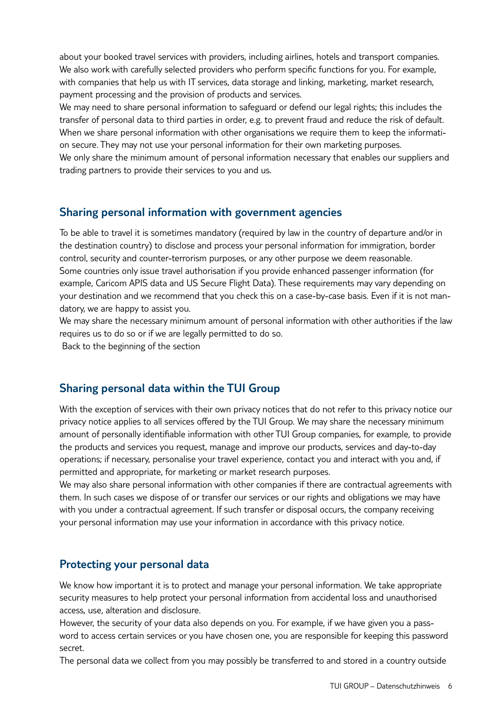about your booked travel services with providers, including airlines, hotels and transport companies. We also work with carefully selected providers who perform specific functions for you. For example, with companies that help us with IT services, data storage and linking, marketing, market research, payment processing and the provision of products and services.

We may need to share personal information to safeguard or defend our legal rights; this includes the transfer of personal data to third parties in order, e.g. to prevent fraud and reduce the risk of default. When we share personal information with other organisations we require them to keep the information secure. They may not use your personal information for their own marketing purposes.

We only share the minimum amount of personal information necessary that enables our suppliers and trading partners to provide their services to you and us.

# **Sharing personal information with government agencies**

To be able to travel it is sometimes mandatory (required by law in the country of departure and/or in the destination country) to disclose and process your personal information for immigration, border control, security and counter-terrorism purposes, or any other purpose we deem reasonable. Some countries only issue travel authorisation if you provide enhanced passenger information (for example, Caricom APIS data and US Secure Flight Data). These requirements may vary depending on your destination and we recommend that you check this on a case-by-case basis. Even if it is not mandatory, we are happy to assist you.

We may share the necessary minimum amount of personal information with other authorities if the law requires us to do so or if we are legally permitted to do so.

Back to the beginning of the section

# **Sharing personal data within the TUI Group**

With the exception of services with their own privacy notices that do not refer to this privacy notice our privacy notice applies to all services offered by the TUI Group. We may share the necessary minimum amount of personally identifiable information with other TUI Group companies, for example, to provide the products and services you request, manage and improve our products, services and day-to-day operations; if necessary, personalise your travel experience, contact you and interact with you and, if permitted and appropriate, for marketing or market research purposes.

We may also share personal information with other companies if there are contractual agreements with them. In such cases we dispose of or transfer our services or our rights and obligations we may have with you under a contractual agreement. If such transfer or disposal occurs, the company receiving your personal information may use your information in accordance with this privacy notice.

## **Protecting your personal data**

We know how important it is to protect and manage your personal information. We take appropriate security measures to help protect your personal information from accidental loss and unauthorised access, use, alteration and disclosure.

However, the security of your data also depends on you. For example, if we have given you a password to access certain services or you have chosen one, you are responsible for keeping this password secret.

The personal data we collect from you may possibly be transferred to and stored in a country outside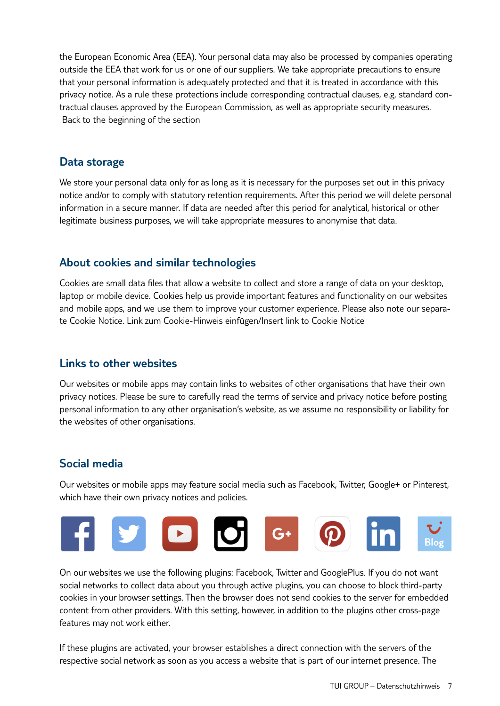the European Economic Area (EEA). Your personal data may also be processed by companies operating outside the EEA that work for us or one of our suppliers. We take appropriate precautions to ensure that your personal information is adequately protected and that it is treated in accordance with this privacy notice. As a rule these protections include corresponding contractual clauses, e.g. standard contractual clauses approved by the European Commission, as well as appropriate security measures. Back to the beginning of the section

# **Data storage**

We store your personal data only for as long as it is necessary for the purposes set out in this privacy notice and/or to comply with statutory retention requirements. After this period we will delete personal information in a secure manner. If data are needed after this period for analytical, historical or other legitimate business purposes, we will take appropriate measures to anonymise that data.

# **About cookies and similar technologies**

Cookies are small data files that allow a website to collect and store a range of data on your desktop, laptop or mobile device. Cookies help us provide important features and functionality on our websites and mobile apps, and we use them to improve your customer experience. Please also note our separate Cookie Notice. Link zum Cookie-Hinweis einfügen/Insert link to Cookie Notice

# **Links to other websites**

Our websites or mobile apps may contain links to websites of other organisations that have their own privacy notices. Please be sure to carefully read the terms of service and privacy notice before posting personal information to any other organisation's website, as we assume no responsibility or liability for the websites of other organisations.

# **Social media**

Our websites or mobile apps may feature social media such as Facebook, Twitter, Google+ or Pinterest, which have their own privacy notices and policies.



On our websites we use the following plugins: Facebook, Twitter and GooglePlus. If you do not want social networks to collect data about you through active plugins, you can choose to block third-party cookies in your browser settings. Then the browser does not send cookies to the server for embedded content from other providers. With this setting, however, in addition to the plugins other cross-page features may not work either.

If these plugins are activated, your browser establishes a direct connection with the servers of the respective social network as soon as you access a website that is part of our internet presence. The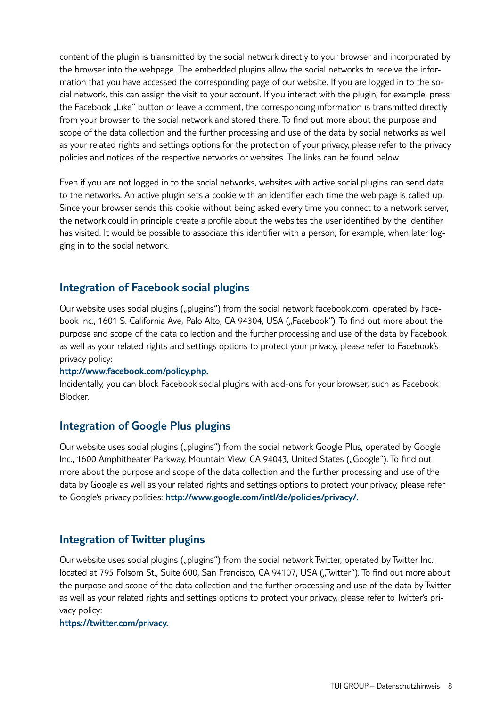content of the plugin is transmitted by the social network directly to your browser and incorporated by the browser into the webpage. The embedded plugins allow the social networks to receive the information that you have accessed the corresponding page of our website. If you are logged in to the social network, this can assign the visit to your account. If you interact with the plugin, for example, press the Facebook "Like" button or leave a comment, the corresponding information is transmitted directly from your browser to the social network and stored there. To find out more about the purpose and scope of the data collection and the further processing and use of the data by social networks as well as your related rights and settings options for the protection of your privacy, please refer to the privacy policies and notices of the respective networks or websites. The links can be found below.

Even if you are not logged in to the social networks, websites with active social plugins can send data to the networks. An active plugin sets a cookie with an identifier each time the web page is called up. Since your browser sends this cookie without being asked every time you connect to a network server, the network could in principle create a profile about the websites the user identified by the identifier has visited. It would be possible to associate this identifier with a person, for example, when later logging in to the social network.

# **Integration of Facebook social plugins**

Our website uses social plugins ("plugins") from the social network facebook.com, operated by Facebook Inc., 1601 S. California Ave, Palo Alto, CA 94304, USA ("Facebook"). To find out more about the purpose and scope of the data collection and the further processing and use of the data by Facebook as well as your related rights and settings options to protect your privacy, please refer to Facebook's privacy policy:

#### **http://www.facebook.com/policy.php.**

Incidentally, you can block Facebook social plugins with add-ons for your browser, such as Facebook Blocker.

# **Integration of Google Plus plugins**

Our website uses social plugins ("plugins") from the social network Google Plus, operated by Google Inc., 1600 Amphitheater Parkway, Mountain View, CA 94043, United States ("Google"). To find out more about the purpose and scope of the data collection and the further processing and use of the data by Google as well as your related rights and settings options to protect your privacy, please refer to Google's privacy policies: **http://www.google.com/intl/de/policies/privacy/.**

## **Integration of Twitter plugins**

Our website uses social plugins ("plugins") from the social network Twitter, operated by Twitter Inc., located at 795 Folsom St., Suite 600, San Francisco, CA 94107, USA ("Twitter"). To find out more about the purpose and scope of the data collection and the further processing and use of the data by Twitter as well as your related rights and settings options to protect your privacy, please refer to Twitter's privacy policy:

**https://twitter.com/privacy.**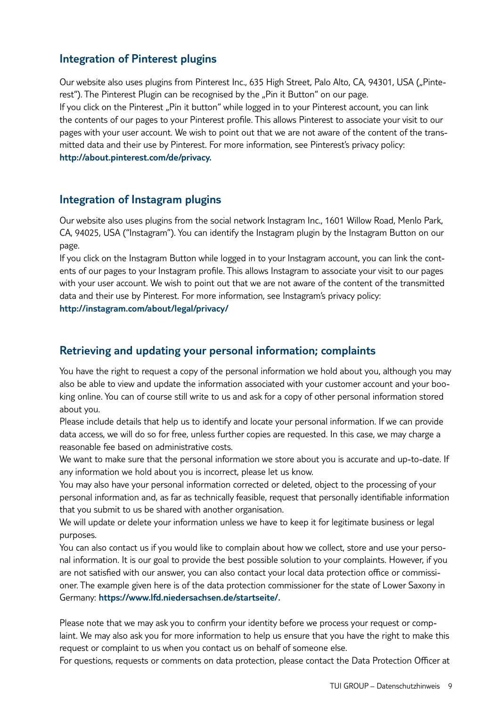# **Integration of Pinterest plugins**

Our website also uses plugins from Pinterest Inc., 635 High Street, Palo Alto, CA, 94301, USA ("Pinterest"). The Pinterest Plugin can be recognised by the "Pin it Button" on our page. If you click on the Pinterest "Pin it button" while logged in to your Pinterest account, you can link the contents of our pages to your Pinterest profile. This allows Pinterest to associate your visit to our pages with your user account. We wish to point out that we are not aware of the content of the transmitted data and their use by Pinterest. For more information, see Pinterest's privacy policy: **http://about.pinterest.com/de/privacy.** 

# **Integration of Instagram plugins**

Our website also uses plugins from the social network Instagram Inc., 1601 Willow Road, Menlo Park, CA, 94025, USA ("Instagram"). You can identify the Instagram plugin by the Instagram Button on our page.

If you click on the Instagram Button while logged in to your Instagram account, you can link the contents of our pages to your Instagram profile. This allows Instagram to associate your visit to our pages with your user account. We wish to point out that we are not aware of the content of the transmitted data and their use by Pinterest. For more information, see Instagram's privacy policy: **http://instagram.com/about/legal/privacy/**

# **Retrieving and updating your personal information; complaints**

You have the right to request a copy of the personal information we hold about you, although you may also be able to view and update the information associated with your customer account and your booking online. You can of course still write to us and ask for a copy of other personal information stored about you.

Please include details that help us to identify and locate your personal information. If we can provide data access, we will do so for free, unless further copies are requested. In this case, we may charge a reasonable fee based on administrative costs.

We want to make sure that the personal information we store about you is accurate and up-to-date. If any information we hold about you is incorrect, please let us know.

You may also have your personal information corrected or deleted, object to the processing of your personal information and, as far as technically feasible, request that personally identifiable information that you submit to us be shared with another organisation.

We will update or delete your information unless we have to keep it for legitimate business or legal purposes.

You can also contact us if you would like to complain about how we collect, store and use your personal information. It is our goal to provide the best possible solution to your complaints. However, if you are not satisfied with our answer, you can also contact your local data protection office or commissioner. The example given here is of the data protection commissioner for the state of Lower Saxony in Germany: **https://www.lfd.niedersachsen.de/startseite/.**

Please note that we may ask you to confirm your identity before we process your request or complaint. We may also ask you for more information to help us ensure that you have the right to make this request or complaint to us when you contact us on behalf of someone else.

For questions, requests or comments on data protection, please contact the Data Protection Officer at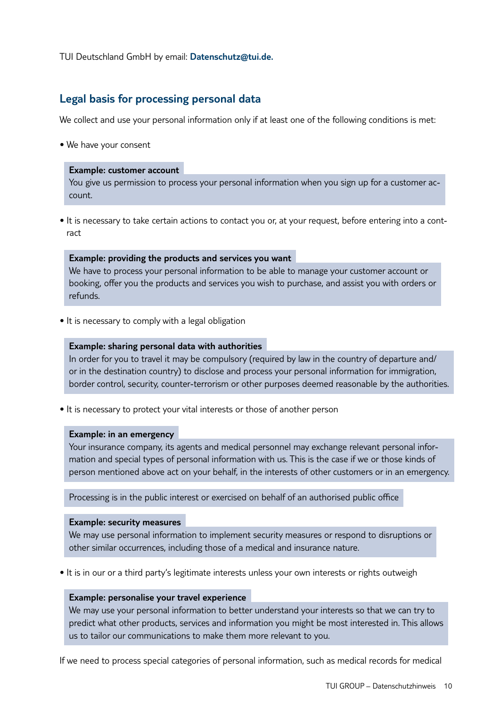TUI Deutschland GmbH by email: **Datenschutz@tui.de.**

# **Legal basis for processing personal data**

We collect and use your personal information only if at least one of the following conditions is met:

• We have your consent

#### **Example: customer account**

You give us permission to process your personal information when you sign up for a customer account.

• It is necessary to take certain actions to contact you or, at your request, before entering into a contract

#### **Example: providing the products and services you want**

We have to process your personal information to be able to manage your customer account or booking, offer you the products and services you wish to purchase, and assist you with orders or refunds.

• It is necessary to comply with a legal obligation

#### **Example: sharing personal data with authorities**

In order for you to travel it may be compulsory (required by law in the country of departure and/ or in the destination country) to disclose and process your personal information for immigration, border control, security, counter-terrorism or other purposes deemed reasonable by the authorities.

• It is necessary to protect your vital interests or those of another person

#### **Example: in an emergency**

Your insurance company, its agents and medical personnel may exchange relevant personal information and special types of personal information with us. This is the case if we or those kinds of person mentioned above act on your behalf, in the interests of other customers or in an emergency.

Processing is in the public interest or exercised on behalf of an authorised public office

#### **Example: security measures**

We may use personal information to implement security measures or respond to disruptions or other similar occurrences, including those of a medical and insurance nature.

• It is in our or a third party's legitimate interests unless your own interests or rights outweigh

#### **Example: personalise your travel experience**

We may use your personal information to better understand your interests so that we can try to predict what other products, services and information you might be most interested in. This allows us to tailor our communications to make them more relevant to you.

If we need to process special categories of personal information, such as medical records for medical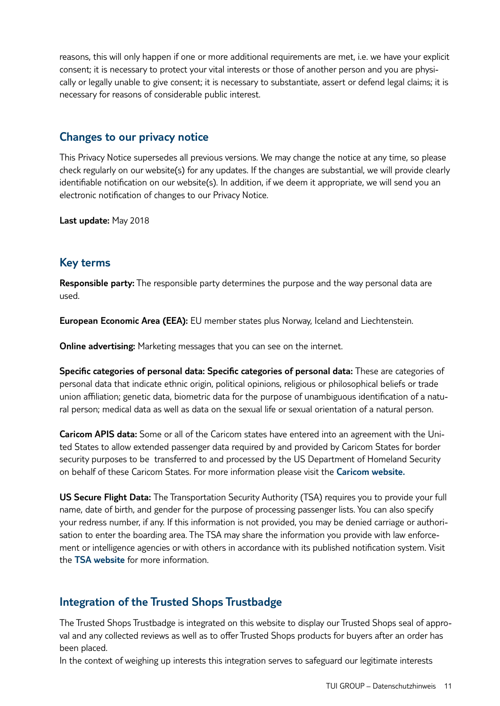reasons, this will only happen if one or more additional requirements are met, i.e. we have your explicit consent; it is necessary to protect your vital interests or those of another person and you are physically or legally unable to give consent; it is necessary to substantiate, assert or defend legal claims; it is necessary for reasons of considerable public interest.

# **Changes to our privacy notice**

This Privacy Notice supersedes all previous versions. We may change the notice at any time, so please check regularly on our website(s) for any updates. If the changes are substantial, we will provide clearly identifiable notification on our website(s). In addition, if we deem it appropriate, we will send you an electronic notification of changes to our Privacy Notice.

**Last update:** May 2018

# **Key terms**

**Responsible party:** The responsible party determines the purpose and the way personal data are used.

**European Economic Area (EEA):** EU member states plus Norway, Iceland and Liechtenstein.

**Online advertising:** Marketing messages that you can see on the internet.

**Specific categories of personal data: Specific categories of personal data:** These are categories of personal data that indicate ethnic origin, political opinions, religious or philosophical beliefs or trade union affiliation; genetic data, biometric data for the purpose of unambiguous identification of a natural person; medical data as well as data on the sexual life or sexual orientation of a natural person.

**Caricom APIS data:** Some or all of the Caricom states have entered into an agreement with the United States to allow extended passenger data required by and provided by Caricom States for border security purposes to be transferred to and processed by the US Department of Homeland Security on behalf of these Caricom States. For more information please visit the **Caricom website.**

**US Secure Flight Data:** The Transportation Security Authority (TSA) requires you to provide your full name, date of birth, and gender for the purpose of processing passenger lists. You can also specify your redress number, if any. If this information is not provided, you may be denied carriage or authorisation to enter the boarding area. The TSA may share the information you provide with law enforcement or intelligence agencies or with others in accordance with its published notification system. Visit the **TSA website** for more information.

# **Integration of the Trusted Shops Trustbadge**

The Trusted Shops Trustbadge is integrated on this website to display our Trusted Shops seal of approval and any collected reviews as well as to offer Trusted Shops products for buyers after an order has been placed.

In the context of weighing up interests this integration serves to safeguard our legitimate interests